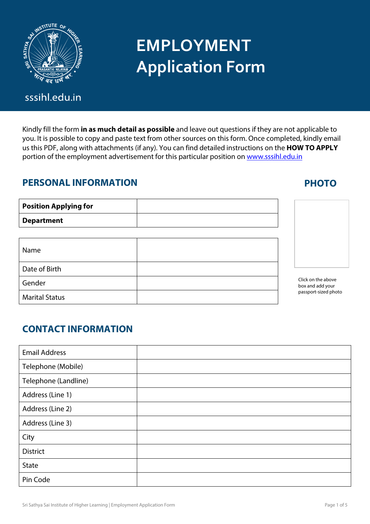

sssihl.edu.in

# **EMPLOYMENT Application Form**

Kindly fill the form **in as much detail as possible** and leave out questions if they are not applicable to you. It is possible to copy and paste text from other sources on this form. Once completed, kindly email us this PDF, along with attachments (if any). You can find detailed instructions on the **HOW TO APPLY** portion of the employment advertisement for this particular position on [www.sssihl.edu.in](http://www.sssihl.edu.in/)

## **PERSONAL INFORMATION**

## **PHOTO**

| <b>Position Applying for</b> |  |
|------------------------------|--|
| <b>Department</b>            |  |
|                              |  |

| Name                  |  |
|-----------------------|--|
| Date of Birth         |  |
| Gender                |  |
| <b>Marital Status</b> |  |

#### Click on the above box and add your passport-sized photo

## **CONTACT INFORMATION**

| <b>Email Address</b> |  |
|----------------------|--|
| Telephone (Mobile)   |  |
| Telephone (Landline) |  |
| Address (Line 1)     |  |
| Address (Line 2)     |  |
| Address (Line 3)     |  |
| City                 |  |
| <b>District</b>      |  |
| <b>State</b>         |  |
| Pin Code             |  |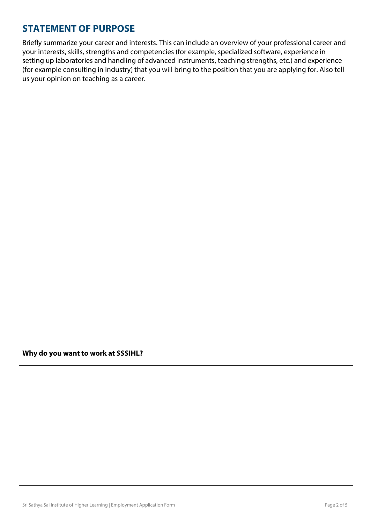## **STATEMENT OF PURPOSE**

Briefly summarize your career and interests. This can include an overview of your professional career and your interests, skills, strengths and competencies (for example, specialized software, experience in setting up laboratories and handling of advanced instruments, teaching strengths, etc.) and experience (for example consulting in industry) that you will bring to the position that you are applying for. Also tell us your opinion on teaching as a career.

#### **Why do you want to work at SSSIHL?**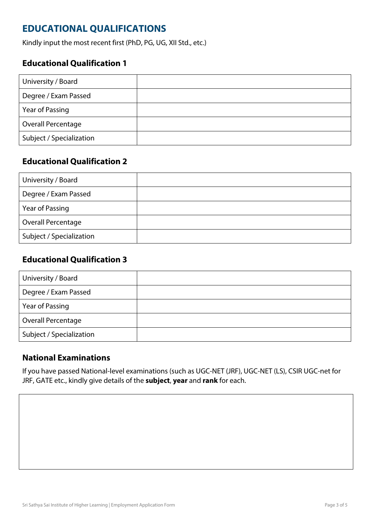## **EDUCATIONAL QUALIFICATIONS**

Kindly input the most recent first (PhD, PG, UG, XII Std., etc.)

### **Educational Qualification 1**

| University / Board        |  |
|---------------------------|--|
| Degree / Exam Passed      |  |
| Year of Passing           |  |
| <b>Overall Percentage</b> |  |
| Subject / Specialization  |  |

### **Educational Qualification 2**

| University / Board        |  |
|---------------------------|--|
| Degree / Exam Passed      |  |
| Year of Passing           |  |
| <b>Overall Percentage</b> |  |
| Subject / Specialization  |  |

#### **Educational Qualification 3**

| University / Board        |  |
|---------------------------|--|
| Degree / Exam Passed      |  |
| Year of Passing           |  |
| <b>Overall Percentage</b> |  |
| Subject / Specialization  |  |

#### **National Examinations**

If you have passed National-level examinations (such as UGC-NET (JRF), UGC-NET (LS), CSIR UGC-net for JRF, GATE etc., kindly give details of the **subject**, **year** and **rank** for each.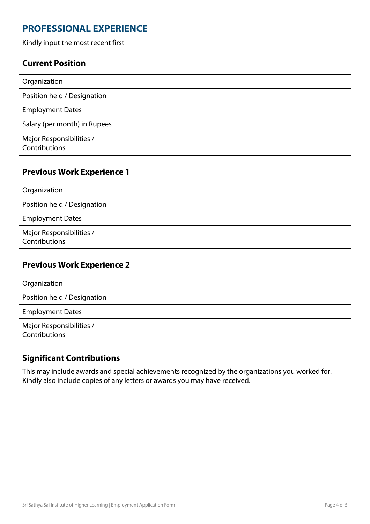## **PROFESSIONAL EXPERIENCE**

Kindly input the most recent first

#### **Current Position**

| Organization                              |  |
|-------------------------------------------|--|
| Position held / Designation               |  |
| <b>Employment Dates</b>                   |  |
| Salary (per month) in Rupees              |  |
| Major Responsibilities /<br>Contributions |  |

## **Previous Work Experience 1**

| Organization                              |  |
|-------------------------------------------|--|
| Position held / Designation               |  |
| <b>Employment Dates</b>                   |  |
| Major Responsibilities /<br>Contributions |  |

#### **Previous Work Experience 2**

| Organization                              |  |
|-------------------------------------------|--|
| Position held / Designation               |  |
| <b>Employment Dates</b>                   |  |
| Major Responsibilities /<br>Contributions |  |

#### **Significant Contributions**

This may include awards and special achievements recognized by the organizations you worked for. Kindly also include copies of any letters or awards you may have received.